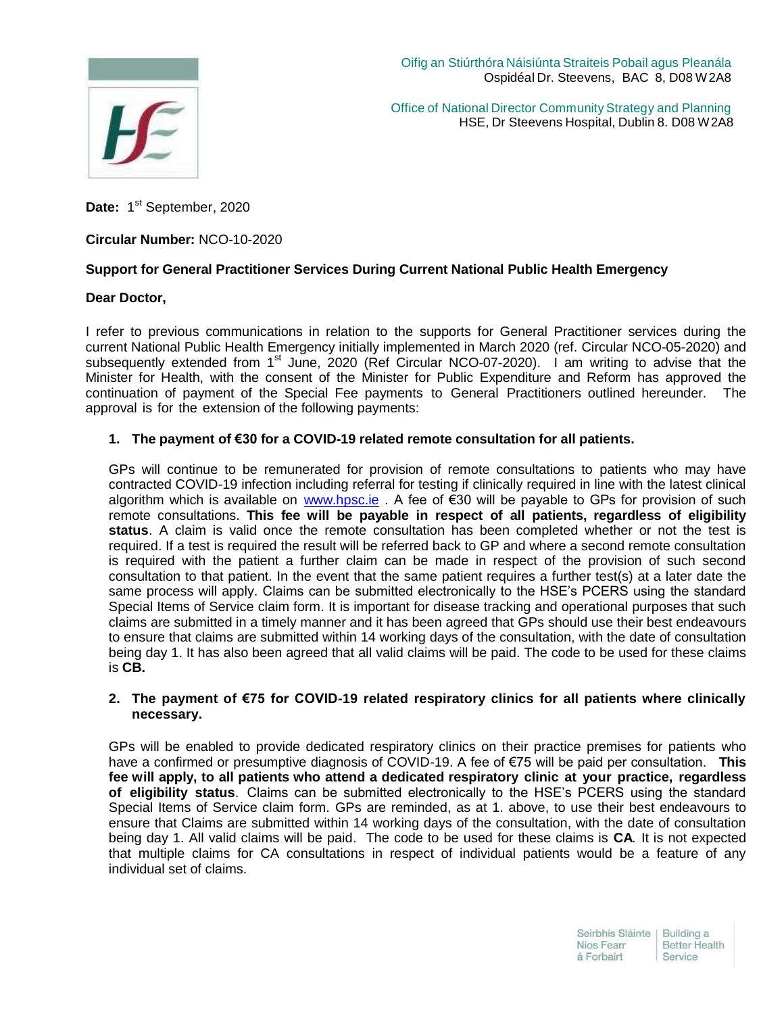

Oifig an Stiúrthóra Náisiúnta Straiteis Pobail agus Pleanála Ospidéal Dr. Steevens, BAC 8, D08 W2A8

Office of National Director Community Strategy and Planning HSE, Dr Steevens Hospital, Dublin 8. D08 W2A8

Date: 1<sup>st</sup> September, 2020

**Circular Number:** NCO-10-2020

# **Support for General Practitioner Services During Current National Public Health Emergency**

### **Dear Doctor,**

I refer to previous communications in relation to the supports for General Practitioner services during the current National Public Health Emergency initially implemented in March 2020 (ref. Circular NCO-05-2020) and subsequently extended from 1<sup>st</sup> June, 2020 (Ref Circular NCO-07-2020). I am writing to advise that the Minister for Health, with the consent of the Minister for Public Expenditure and Reform has approved the continuation of payment of the Special Fee payments to General Practitioners outlined hereunder. The approval is for the extension of the following payments:

# **1. The payment of €30 for a COVID-19 related remote consultation for all patients.**

GPs will continue to be remunerated for provision of remote consultations to patients who may have contracted COVID-19 infection including referral for testing if clinically required in line with the latest clinical algorithm which is available on [www.hpsc.ie](http://www.hpsc.ie/) . A fee of €30 will be payable to GPs for provision of such remote consultations. **This fee will be payable in respect of all patients, regardless of eligibility status**. A claim is valid once the remote consultation has been completed whether or not the test is required. If a test is required the result will be referred back to GP and where a second remote consultation is required with the patient a further claim can be made in respect of the provision of such second consultation to that patient. In the event that the same patient requires a further test(s) at a later date the same process will apply. Claims can be submitted electronically to the HSE's PCERS using the standard Special Items of Service claim form. It is important for disease tracking and operational purposes that such claims are submitted in a timely manner and it has been agreed that GPs should use their best endeavours to ensure that claims are submitted within 14 working days of the consultation, with the date of consultation being day 1. It has also been agreed that all valid claims will be paid. The code to be used for these claims is **CB.**

### **2. The payment of €75 for COVID-19 related respiratory clinics for all patients where clinically necessary.**

GPs will be enabled to provide dedicated respiratory clinics on their practice premises for patients who have a confirmed or presumptive diagnosis of COVID-19. A fee of €75 will be paid per consultation. **This fee will apply, to all patients who attend a dedicated respiratory clinic at your practice, regardless of eligibility status**. Claims can be submitted electronically to the HSE's PCERS using the standard Special Items of Service claim form. GPs are reminded, as at 1. above, to use their best endeavours to ensure that Claims are submitted within 14 working days of the consultation, with the date of consultation being day 1. All valid claims will be paid. The code to be used for these claims is **CA**. It is not expected that multiple claims for CA consultations in respect of individual patients would be a feature of any individual set of claims.

> Seirbhís Sláinte | Building a Níos Fearr **Better Health** á Forbairt Service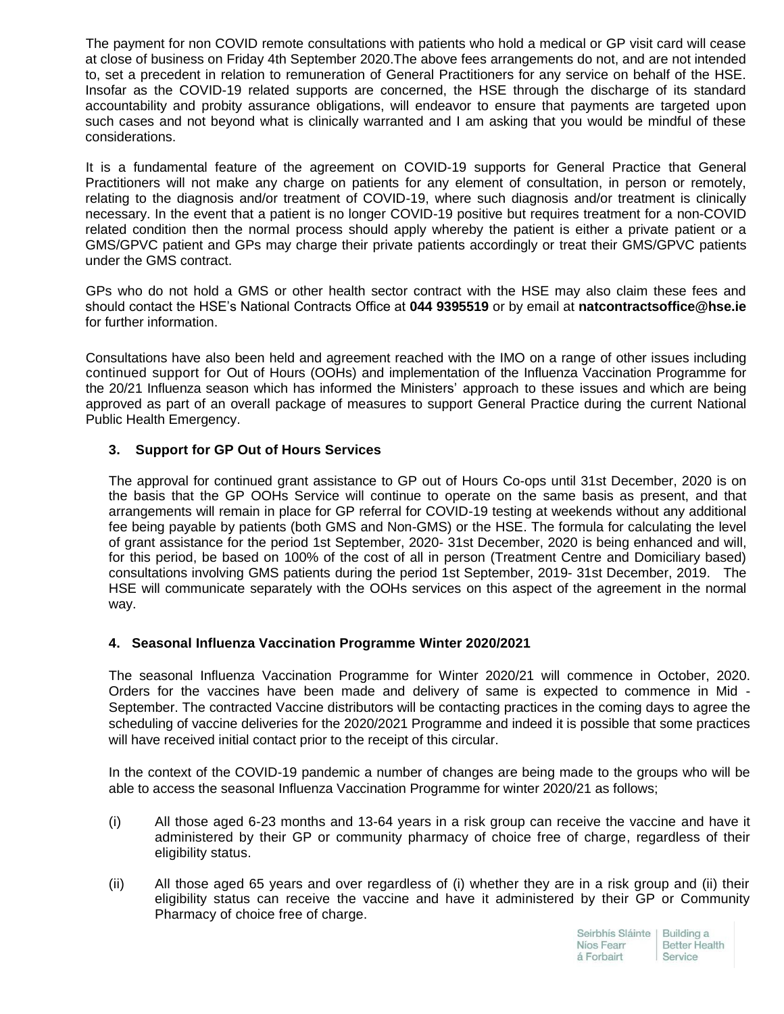The payment for non COVID remote consultations with patients who hold a medical or GP visit card will cease at close of business on Friday 4th September 2020.The above fees arrangements do not, and are not intended to, set a precedent in relation to remuneration of General Practitioners for any service on behalf of the HSE. Insofar as the COVID-19 related supports are concerned, the HSE through the discharge of its standard accountability and probity assurance obligations, will endeavor to ensure that payments are targeted upon such cases and not beyond what is clinically warranted and I am asking that you would be mindful of these considerations.

It is a fundamental feature of the agreement on COVID-19 supports for General Practice that General Practitioners will not make any charge on patients for any element of consultation, in person or remotely, relating to the diagnosis and/or treatment of COVID-19, where such diagnosis and/or treatment is clinically necessary. In the event that a patient is no longer COVID-19 positive but requires treatment for a non-COVID related condition then the normal process should apply whereby the patient is either a private patient or a GMS/GPVC patient and GPs may charge their private patients accordingly or treat their GMS/GPVC patients under the GMS contract.

GPs who do not hold a GMS or other health sector contract with the HSE may also claim these fees and should contact the HSE's National Contracts Office at **044 9395519** or by email at **[natcontractsoffice@hse.ie](mailto:natcontractsoffice@hse.ie)** [fo](mailto:natcontractsoffice@hse.ie)r further information.

Consultations have also been held and agreement reached with the IMO on a range of other issues including continued support for Out of Hours (OOHs) and implementation of the Influenza Vaccination Programme for the 20/21 Influenza season which has informed the Ministers' approach to these issues and which are being approved as part of an overall package of measures to support General Practice during the current National Public Health Emergency.

# **3. Support for GP Out of Hours Services**

The approval for continued grant assistance to GP out of Hours Co-ops until 31st December, 2020 is on the basis that the GP OOHs Service will continue to operate on the same basis as present, and that arrangements will remain in place for GP referral for COVID-19 testing at weekends without any additional fee being payable by patients (both GMS and Non-GMS) or the HSE. The formula for calculating the level of grant assistance for the period 1st September, 2020- 31st December, 2020 is being enhanced and will, for this period, be based on 100% of the cost of all in person (Treatment Centre and Domiciliary based) consultations involving GMS patients during the period 1st September, 2019- 31st December, 2019. The HSE will communicate separately with the OOHs services on this aspect of the agreement in the normal way.

# **4. Seasonal Influenza Vaccination Programme Winter 2020/2021**

The seasonal Influenza Vaccination Programme for Winter 2020/21 will commence in October, 2020. Orders for the vaccines have been made and delivery of same is expected to commence in Mid - September. The contracted Vaccine distributors will be contacting practices in the coming days to agree the scheduling of vaccine deliveries for the 2020/2021 Programme and indeed it is possible that some practices will have received initial contact prior to the receipt of this circular.

In the context of the COVID-19 pandemic a number of changes are being made to the groups who will be able to access the seasonal Influenza Vaccination Programme for winter 2020/21 as follows;

- (i) All those aged 6-23 months and 13-64 years in a risk group can receive the vaccine and have it administered by their GP or community pharmacy of choice free of charge, regardless of their eligibility status.
- (ii) All those aged 65 years and over regardless of (i) whether they are in a risk group and (ii) their eligibility status can receive the vaccine and have it administered by their GP or Community Pharmacy of choice free of charge.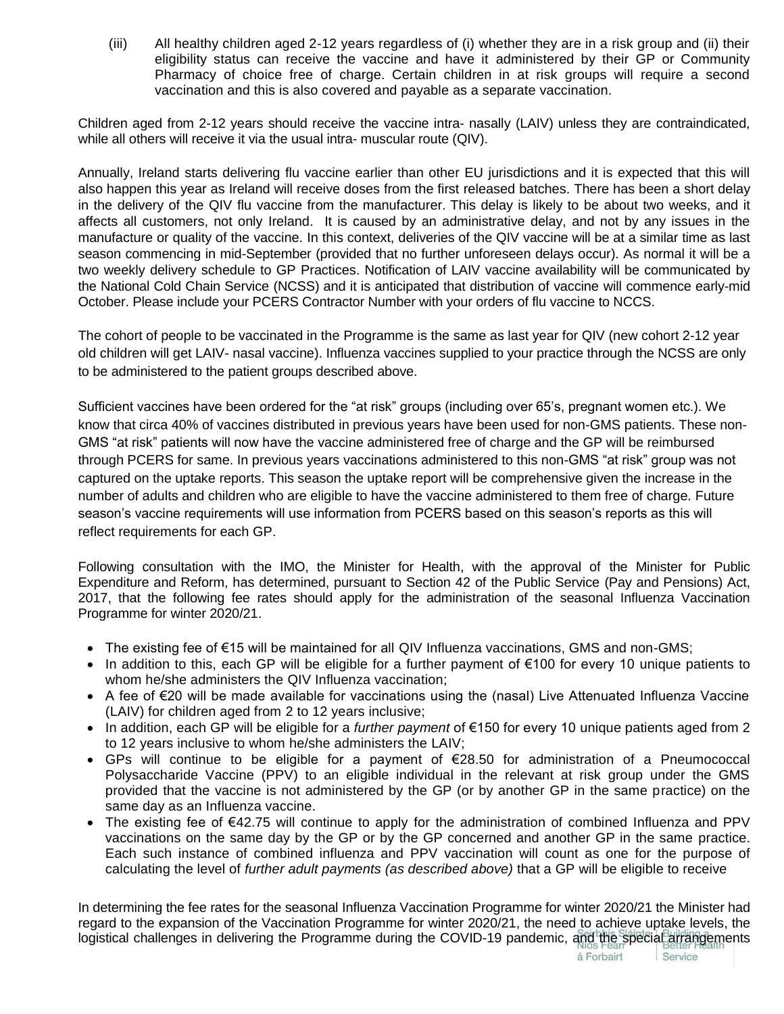(iii) All healthy children aged 2-12 years regardless of (i) whether they are in a risk group and (ii) their eligibility status can receive the vaccine and have it administered by their GP or Community Pharmacy of choice free of charge. Certain children in at risk groups will require a second vaccination and this is also covered and payable as a separate vaccination.

Children aged from 2-12 years should receive the vaccine intra- nasally (LAIV) unless they are contraindicated, while all others will receive it via the usual intra- muscular route (QIV).

Annually, Ireland starts delivering flu vaccine earlier than other EU jurisdictions and it is expected that this will also happen this year as Ireland will receive doses from the first released batches. There has been a short delay in the delivery of the QIV flu vaccine from the manufacturer. This delay is likely to be about two weeks, and it affects all customers, not only Ireland. It is caused by an administrative delay, and not by any issues in the manufacture or quality of the vaccine. In this context, deliveries of the QIV vaccine will be at a similar time as last season commencing in mid-September (provided that no further unforeseen delays occur). As normal it will be a two weekly delivery schedule to GP Practices. Notification of LAIV vaccine availability will be communicated by the National Cold Chain Service (NCSS) and it is anticipated that distribution of vaccine will commence early-mid October. Please include your PCERS Contractor Number with your orders of flu vaccine to NCCS.

The cohort of people to be vaccinated in the Programme is the same as last year for QIV (new cohort 2-12 year old children will get LAIV- nasal vaccine). Influenza vaccines supplied to your practice through the NCSS are only to be administered to the patient groups described above.

Sufficient vaccines have been ordered for the "at risk" groups (including over 65's, pregnant women etc.). We know that circa 40% of vaccines distributed in previous years have been used for non-GMS patients. These non-GMS "at risk" patients will now have the vaccine administered free of charge and the GP will be reimbursed through PCERS for same. In previous years vaccinations administered to this non-GMS "at risk" group was not captured on the uptake reports. This season the uptake report will be comprehensive given the increase in the number of adults and children who are eligible to have the vaccine administered to them free of charge. Future season's vaccine requirements will use information from PCERS based on this season's reports as this will reflect requirements for each GP.

Following consultation with the IMO, the Minister for Health, with the approval of the Minister for Public Expenditure and Reform, has determined, pursuant to Section 42 of the Public Service (Pay and Pensions) Act, 2017, that the following fee rates should apply for the administration of the seasonal Influenza Vaccination Programme for winter 2020/21.

- The existing fee of €15 will be maintained for all QIV Influenza vaccinations, GMS and non-GMS;
- In addition to this, each GP will be eligible for a further payment of €100 for every 10 unique patients to whom he/she administers the QIV Influenza vaccination;
- A fee of €20 will be made available for vaccinations using the (nasal) Live Attenuated Influenza Vaccine (LAIV) for children aged from 2 to 12 years inclusive;
- In addition, each GP will be eligible for a *further payment* of €150 for every 10 unique patients aged from 2 to 12 years inclusive to whom he/she administers the LAIV;
- GPs will continue to be eligible for a payment of  $€28.50$  for administration of a Pneumococcal Polysaccharide Vaccine (PPV) to an eligible individual in the relevant at risk group under the GMS provided that the vaccine is not administered by the GP (or by another GP in the same practice) on the same day as an Influenza vaccine.
- The existing fee of €42.75 will continue to apply for the administration of combined Influenza and PPV vaccinations on the same day by the GP or by the GP concerned and another GP in the same practice. Each such instance of combined influenza and PPV vaccination will count as one for the purpose of calculating the level of *further adult payments (as described above)* that a GP will be eligible to receive

In determining the fee rates for the seasonal Influenza Vaccination Programme for winter 2020/21 the Minister had regard to the expansion of the Vaccination Programme for winter 2020/21, the need to achieve uptake levels, the logistical challenges in delivering the Programme during the COVID-19 pandemic, and the special arrangements